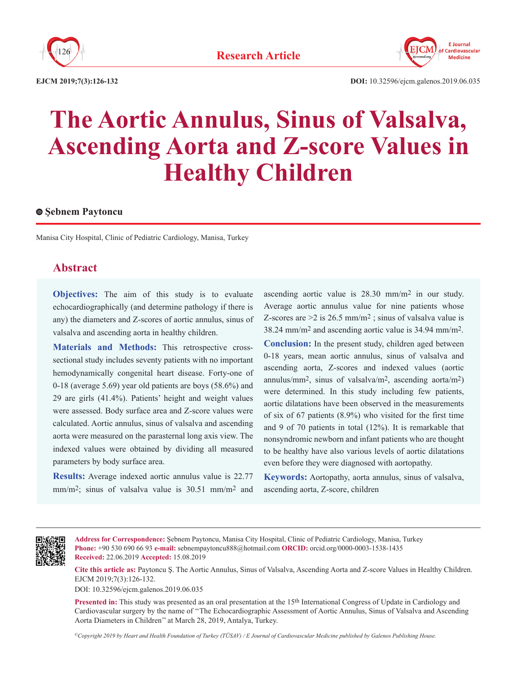



**EJCM 2019;7(3):126-132**

# **The Aortic Annulus, Sinus of Valsalva, Ascending Aorta and Z-score Values in Healthy Children**

#### **Şebnem Paytoncu**

Manisa City Hospital, Clinic of Pediatric Cardiology, Manisa, Turkey

# **Abstract**

**Objectives:** The aim of this study is to evaluate echocardiographically (and determine pathology if there is any) the diameters and Z-scores of aortic annulus, sinus of valsalva and ascending aorta in healthy children.

**Materials and Methods:** This retrospective crosssectional study includes seventy patients with no important hemodynamically congenital heart disease. Forty-one of 0-18 (average 5.69) year old patients are boys (58.6%) and 29 are girls (41.4%). Patients' height and weight values were assessed. Body surface area and Z-score values were calculated. Aortic annulus, sinus of valsalva and ascending aorta were measured on the parasternal long axis view. The indexed values were obtained by dividing all measured parameters by body surface area.

**Results:** Average indexed aortic annulus value is 22.77 mm/m2; sinus of valsalva value is 30.51 mm/m2 and ascending aortic value is 28.30 mm/m2 in our study. Average aortic annulus value for nine patients whose Z-scores are  $>$ 2 is 26.5 mm/m<sup>2</sup>; sinus of valsalva value is 38.24 mm/m2 and ascending aortic value is 34.94 mm/m2.

**Conclusion:** In the present study, children aged between 0-18 years, mean aortic annulus, sinus of valsalva and ascending aorta, Z-scores and indexed values (aortic annulus/mm<sup>2</sup>, sinus of valsalva/m<sup>2</sup>, ascending aorta/m<sup>2</sup>) were determined. In this study including few patients, aortic dilatations have been observed in the measurements of six of 67 patients (8.9%) who visited for the first time and 9 of 70 patients in total (12%). It is remarkable that nonsyndromic newborn and infant patients who are thought to be healthy have also various levels of aortic dilatations even before they were diagnosed with aortopathy.

**Keywords:** Aortopathy, aorta annulus, sinus of valsalva, ascending aorta, Z-score, children



**Address for Correspondence:** Şebnem Paytoncu, Manisa City Hospital, Clinic of Pediatric Cardiology, Manisa, Turkey **Phone:** +90 530 690 66 93 **e-mail:** sebnempaytoncu888@hotmail.com **ORCID:** orcid.org/0000-0003-1538-1435 **Received:** 22.06.2019 **Accepted:** 15.08.2019

**Cite this article as:** Paytoncu Ş. The Aortic Annulus, Sinus of Valsalva, Ascending Aorta and Z-score Values in Healthy Children. EJCM 2019;7(3):126-132.

DOI: 10.32596/ejcm.galenos.2019.06.035

**Presented in:** This study was presented as an oral presentation at the 15<sup>th</sup> International Congress of Update in Cardiology and Cardiovascular surgery by the name of ''The Echocardiographic Assessment of Aortic Annulus, Sinus of Valsalva and Ascending Aorta Diameters in Children'' at March 28, 2019, Antalya, Turkey.

*©Copyright 2019 by Heart and Health Foundation of Turkey (TÜSAV) / E Journal of Cardiovascular Medicine published by Galenos Publishing House.*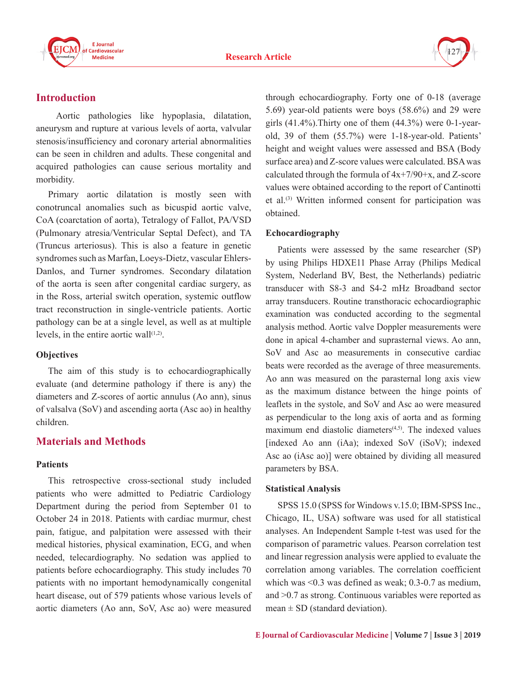



# **Introduction**

 Aortic pathologies like hypoplasia, dilatation, aneurysm and rupture at various levels of aorta, valvular stenosis/insufficiency and coronary arterial abnormalities can be seen in children and adults. These congenital and acquired pathologies can cause serious mortality and morbidity.

Primary aortic dilatation is mostly seen with conotruncal anomalies such as bicuspid aortic valve, CoA (coarctation of aorta), Tetralogy of Fallot, PA/VSD (Pulmonary atresia/Ventricular Septal Defect), and TA (Truncus arteriosus). This is also a feature in genetic syndromes such as Marfan, Loeys-Dietz, vascular Ehlers-Danlos, and Turner syndromes. Secondary dilatation of the aorta is seen after congenital cardiac surgery, as in the Ross, arterial switch operation, systemic outflow tract reconstruction in single-ventricle patients. Aortic pathology can be at a single level, as well as at multiple levels, in the entire aortic wall $(1,2)$ .

#### **Objectives**

The aim of this study is to echocardiographically evaluate (and determine pathology if there is any) the diameters and Z-scores of aortic annulus (Ao ann), sinus of valsalva (SoV) and ascending aorta (Asc ao) in healthy children.

# **Materials and Methods**

#### **Patients**

This retrospective cross-sectional study included patients who were admitted to Pediatric Cardiology Department during the period from September 01 to October 24 in 2018. Patients with cardiac murmur, chest pain, fatigue, and palpitation were assessed with their medical histories, physical examination, ECG, and when needed, telecardiography. No sedation was applied to patients before echocardiography. This study includes 70 patients with no important hemodynamically congenital heart disease, out of 579 patients whose various levels of aortic diameters (Ao ann, SoV, Asc ao) were measured

through echocardiography. Forty one of 0-18 (average 5.69) year-old patients were boys (58.6%) and 29 were girls  $(41.4\%)$ . Thirty one of them  $(44.3\%)$  were 0-1-yearold, 39 of them (55.7%) were 1-18-year-old. Patients' height and weight values were assessed and BSA (Body surface area) and Z-score values were calculated. BSA was calculated through the formula of  $4x+7/90+x$ , and Z-score values were obtained according to the report of Cantinotti et al.(3) Written informed consent for participation was obtained.

### **Echocardiography**

Patients were assessed by the same researcher (SP) by using Philips HDXE11 Phase Array (Philips Medical System, Nederland BV, Best, the Netherlands) pediatric transducer with S8-3 and S4-2 mHz Broadband sector array transducers. Routine transthoracic echocardiographic examination was conducted according to the segmental analysis method. Aortic valve Doppler measurements were done in apical 4-chamber and suprasternal views. Ao ann, SoV and Asc ao measurements in consecutive cardiac beats were recorded as the average of three measurements. Ao ann was measured on the parasternal long axis view as the maximum distance between the hinge points of leaflets in the systole, and SoV and Asc ao were measured as perpendicular to the long axis of aorta and as forming maximum end diastolic diameters $(4,5)$ . The indexed values [indexed Ao ann (iAa); indexed SoV (iSoV); indexed Asc ao (iAsc ao)] were obtained by dividing all measured parameters by BSA.

# **Statistical Analysis**

SPSS 15.0 (SPSS for Windows v.15.0; IBM-SPSS Inc., Chicago, IL, USA) software was used for all statistical analyses. An Independent Sample t-test was used for the comparison of parametric values. Pearson correlation test and linear regression analysis were applied to evaluate the correlation among variables. The correlation coefficient which was <0.3 was defined as weak; 0.3-0.7 as medium, and >0.7 as strong. Continuous variables were reported as mean  $\pm$  SD (standard deviation).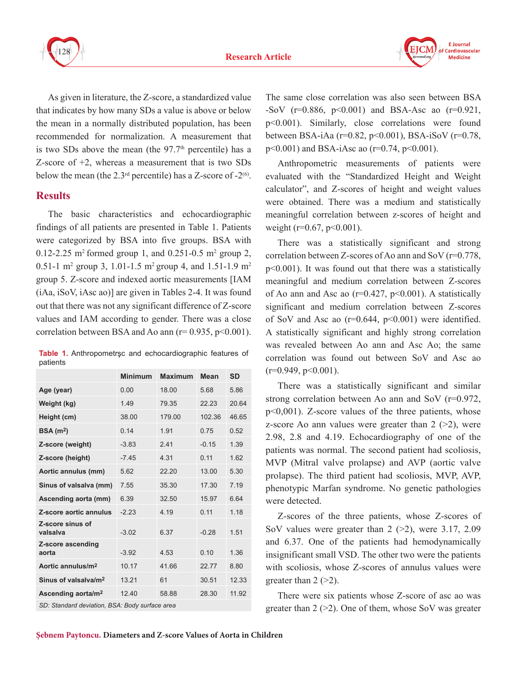

As given in literature, the Z-score, a standardized value that indicates by how many SDs a value is above or below the mean in a normally distributed population, has been recommended for normalization. A measurement that is two SDs above the mean (the  $97.7<sup>th</sup>$  percentile) has a Z-score of +2, whereas a measurement that is two SDs below the mean (the 2.3<sup>rd</sup> percentile) has a Z-score of  $-2^{(6)}$ .

# **Results**

The basic characteristics and echocardiographic findings of all patients are presented in Table 1. Patients were categorized by BSA into five groups. BSA with 0.12-2.25 m<sup>2</sup> formed group 1, and 0.251-0.5 m<sup>2</sup> group 2, 0.51-1 m<sup>2</sup> group 3, 1.01-1.5 m<sup>2</sup> group 4, and 1.51-1.9 m<sup>2</sup> group 5. Z-score and indexed aortic measurements [IAM (iAa, iSoV, iAsc ao)] are given in Tables 2-4. It was found out that there was not any significant difference of Z-score values and IAM according to gender. There was a close correlation between BSA and Ao ann  $(r= 0.935, p<0.001)$ .

**Table 1.** Anthropometrşc and echocardiographic features of patients

|                                  | <b>Minimum</b> | <b>Maximum</b> | Mean    | <b>SD</b> |
|----------------------------------|----------------|----------------|---------|-----------|
| Age (year)                       | 0.00           | 18.00          | 5.68    | 5.86      |
| Weight (kg)                      | 1.49           | 79.35          | 22 23   | 20.64     |
| Height (cm)                      | 38.00          | 179.00         | 102.36  | 46.65     |
| BSA(m <sup>2</sup> )             | 0.14           | 1.91           | 0.75    | 0.52      |
| Z-score (weight)                 | $-3.83$        | 2.41           | $-0.15$ | 1.39      |
| Z-score (height)                 | $-7.45$        | 4.31           | 0.11    | 1.62      |
| Aortic annulus (mm)              | 5.62           | 22.20          | 13.00   | 5.30      |
| Sinus of valsalva (mm)           | 7.55           | 35.30          | 17.30   | 7.19      |
| Ascending aorta (mm)             | 6.39           | 32.50          | 15.97   | 6.64      |
| Z-score aortic annulus           | $-2.23$        | 4.19           | 0.11    | 1.18      |
| Z-score sinus of<br>valsalva     | $-3.02$        | 6.37           | $-0.28$ | 1.51      |
| Z-score ascending<br>aorta       | $-3.92$        | 4.53           | 0.10    | 1.36      |
| Aortic annulus/m <sup>2</sup>    | 10.17          | 41.66          | 2277    | 8.80      |
| Sinus of valsalva/m <sup>2</sup> | 13.21          | 61             | 30.51   | 12.33     |
| Ascending aorta/m <sup>2</sup>   | 12.40          | 58.88          | 28.30   | 11 92     |

*SD: Standard deviation, BSA: Body surface area*

The same close correlation was also seen between BSA -SoV ( $r=0.886$ ,  $p<0.001$ ) and BSA-Asc ao ( $r=0.921$ ), p<0.001). Similarly, close correlations were found between BSA-iAa (r=0.82, p<0.001), BSA-iSoV (r=0.78, p<0.001) and BSA-iAsc ao (r=0.74, p<0.001).

Anthropometric measurements of patients were evaluated with the "Standardized Height and Weight calculator", and Z-scores of height and weight values were obtained. There was a medium and statistically meaningful correlation between z-scores of height and weight ( $r=0.67$ ,  $p<0.001$ ).

There was a statistically significant and strong correlation between Z-scores of Ao ann and SoV (r=0.778, p<0.001). It was found out that there was a statistically meaningful and medium correlation between Z-scores of Ao ann and Asc ao ( $r=0.427$ ,  $p<0.001$ ). A statistically significant and medium correlation between Z-scores of SoV and Asc ao  $(r=0.644, p<0.001)$  were identified. A statistically significant and highly strong correlation was revealed between Ao ann and Asc Ao; the same correlation was found out between SoV and Asc ao  $(r=0.949, p<0.001)$ .

There was a statistically significant and similar strong correlation between Ao ann and SoV (r=0.972, p<0,001). Z-score values of the three patients, whose z-score Ao ann values were greater than  $2$  ( $>2$ ), were 2.98, 2.8 and 4.19. Echocardiography of one of the patients was normal. The second patient had scoliosis, MVP (Mitral valve prolapse) and AVP (aortic valve prolapse). The third patient had scoliosis, MVP, AVP, phenotypic Marfan syndrome. No genetic pathologies were detected.

Z-scores of the three patients, whose Z-scores of SoV values were greater than  $2$  ( $>2$ ), were 3.17, 2.09 and 6.37. One of the patients had hemodynamically insignificant small VSD. The other two were the patients with scoliosis, whose Z-scores of annulus values were greater than  $2$  ( $>2$ ).

There were six patients whose Z-score of asc ao was greater than  $2$  ( $>2$ ). One of them, whose SoV was greater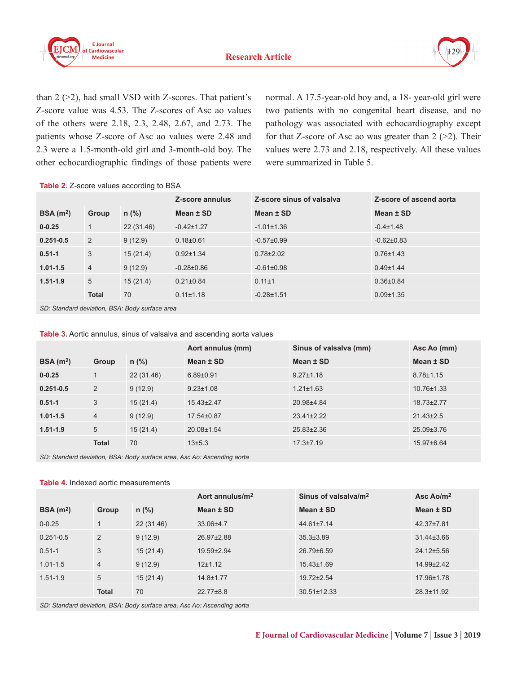



than  $2$  ( $>2$ ), had small VSD with Z-scores. That patient's Z-score value was 4.53. The Z-scores of Asc ao values of the others were 2.18, 2.3, 2.48, 2.67, and 2.73. The patients whose Z-score of Asc ao values were 2.48 and 2.3 were a 1.5-month-old girl and 3-month-old boy. The other echocardiographic findings of those patients were normal. A 17.5-year-old boy and, a 18- year-old girl were two patients with no congenital heart disease, and no pathology was associated with echocardiography except for that Z-score of Asc ao was greater than  $2$  ( $>2$ ). Their values were 2.73 and 2.18, respectively. All these values were summarized in Table 5.

Table 2. Z-score values according to BSA

|                      |                |            | Z-score annulus  | Z-score sinus of valsalva | Z-score of ascend aorta |
|----------------------|----------------|------------|------------------|---------------------------|-------------------------|
| BSA(m <sup>2</sup> ) | Group          | $n$ (%)    | Mean $±$ SD      | Mean $±$ SD               | Mean $±$ SD             |
| $0 - 0.25$           | $\mathbf 1$    | 22 (31.46) | $-0.42 \pm 1.27$ | $-1.01 \pm 1.36$          | $-0.4 \pm 1.48$         |
| $0.251 - 0.5$        | 2              | 9(12.9)    | $0.18 + 0.61$    | $-0.57\pm0.99$            | $-0.62\pm0.83$          |
| $0.51 - 1$           | 3              | 15(21.4)   | $0.92 \pm 1.34$  | $0.78 \pm 2.02$           | $0.76 \pm 1.43$         |
| $1.01 - 1.5$         | $\overline{4}$ | 9(12.9)    | $-0.28 \pm 0.86$ | $-0.61\pm0.98$            | $0.49 \pm 1.44$         |
| $1.51 - 1.9$         | 5              | 15(21.4)   | $0.21 \pm 0.84$  | $0.11 \pm 1$              | $0.36\pm0.84$           |
|                      | <b>Total</b>   | 70         | $0.11 \pm 1.18$  | $-0.28 \pm 1.51$          | $0.09 \pm 1.35$         |

*SD: Standard deviation, BSA: Body surface area*

**Table 3.** Aortic annulus, sinus of valsalva and ascending aorta values

|                      |                |            | Aort annulus (mm) | Sinus of valsalva (mm) | Asc Ao (mm)      |
|----------------------|----------------|------------|-------------------|------------------------|------------------|
| BSA(m <sup>2</sup> ) | Group          | $n$ (%)    | Mean $±$ SD       | Mean $±$ SD            | Mean $±$ SD      |
| $0 - 0.25$           |                | 22 (31.46) | $6.89 + 0.91$     | $9.27 \pm 1.18$        | $8.78 \pm 1.15$  |
| $0.251 - 0.5$        | 2              | 9(12.9)    | $9.23 \pm 1.08$   | $1.21 \pm 1.63$        | $10.76 \pm 1.33$ |
| $0.51 - 1$           | 3              | 15(21.4)   | $15.43\pm2.47$    | 20.98±4.84             | 18.73±2.77       |
| $1.01 - 1.5$         | $\overline{4}$ | 9(12.9)    | $17.54\pm0.87$    | $23.41 \pm 2.22$       | $21.43 \pm 2.5$  |
| $1.51 - 1.9$         | 5              | 15(21.4)   | $20.08 \pm 1.54$  | $25.83 \pm 2.36$       | 25.09±3.76       |
|                      | <b>Total</b>   | 70         | $13 + 5.3$        | $17.3 \pm 7.19$        | 15.97±6.64       |

*SD: Standard deviation, BSA: Body surface area, Asc Ao: Ascending aorta*

#### **Table 4.** Indexed aortic measurements

|                      |                |            | Aort annulus/m <sup>2</sup> | Sinus of valsalva/m <sup>2</sup> | Asc Ao/ $m2$     |
|----------------------|----------------|------------|-----------------------------|----------------------------------|------------------|
| BSA(m <sup>2</sup> ) | Group          | $n$ (%)    | Mean $±$ SD                 | Mean ± SD                        | Mean ± SD        |
| $0 - 0.25$           |                | 22 (31.46) | 33.06±4.7                   | $44.61 \pm 7.14$                 | 42.37±7.81       |
| $0.251 - 0.5$        | 2              | 9(12.9)    | 26.97±2.88                  | $35.3{\pm}3.89$                  | $31.44 \pm 3.66$ |
| $0.51 - 1$           | 3              | 15(21.4)   | 19.59±2.94                  | $26.79\pm 6.59$                  | 24.12±5.56       |
| $1.01 - 1.5$         | $\overline{4}$ | 9(12.9)    | 12±1.12                     | $15.43 \pm 1.69$                 | $14.99 \pm 2.42$ |
| $1.51 - 1.9$         | 5              | 15(21.4)   | 14.8±1.77                   | 19.72±2.54                       | 17.96±1.78       |
|                      | <b>Total</b>   | 70         | $22.77\pm8.8$               | $30.51 \pm 12.33$                | $28.3 \pm 11.92$ |

*SD: Standard deviation, BSA: Body surface area, Asc Ao: Ascending aorta*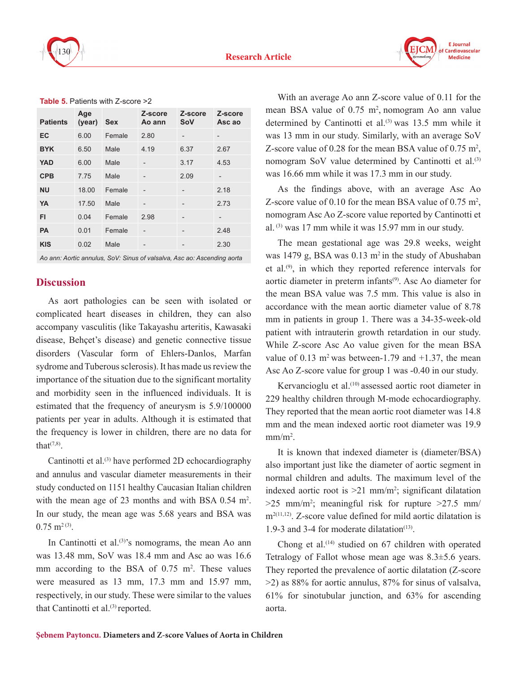

**F** Journal Cardiovascular **Medicine** 

| <b>Patients</b> | Age<br>(year) | <b>Sex</b> | Z-score<br>Ao ann        | Z-score<br>SoV | Z-score<br>Asc ao |
|-----------------|---------------|------------|--------------------------|----------------|-------------------|
| EC              | 6.00          | Female     | 2.80                     |                |                   |
| <b>BYK</b>      | 6.50          | Male       | 4.19                     | 6.37           | 2.67              |
| <b>YAD</b>      | 6.00          | Male       |                          | 3.17           | 4.53              |
| <b>CPB</b>      | 7.75          | Male       | $\overline{\phantom{0}}$ | 2.09           |                   |
| <b>NU</b>       | 18.00         | Female     | $\overline{a}$           |                | 2.18              |
| YA              | 17.50         | Male       | $\overline{a}$           |                | 2.73              |
| FI              | 0.04          | Female     | 2.98                     | -              |                   |
| <b>PA</b>       | 0.01          | Female     |                          | -              | 2.48              |
| <b>KIS</b>      | 0.02          | Male       | -                        | -              | 2.30              |

**Table 5.** Patients with Z-score >2

*Ao ann: Aortic annulus, SoV: Sinus of valsalva, Asc ao: Ascending aorta*

# **Discussion**

As aort pathologies can be seen with isolated or complicated heart diseases in children, they can also accompany vasculitis (like Takayashu arteritis, Kawasaki disease, Behçet's disease) and genetic connective tissue disorders (Vascular form of Ehlers-Danlos, Marfan sydrome and Tuberous sclerosis). It has made us review the importance of the situation due to the significant mortality and morbidity seen in the influenced individuals. It is estimated that the frequency of aneurysm is 5.9/100000 patients per year in adults. Although it is estimated that the frequency is lower in children, there are no data for that $(7,8)$ .

Cantinotti et al.<sup>(3)</sup> have performed 2D echocardiography and annulus and vascular diameter measurements in their study conducted on 1151 healthy Caucasian Italian children with the mean age of 23 months and with BSA  $0.54 \text{ m}^2$ . In our study, the mean age was 5.68 years and BSA was  $0.75$  m<sup>2(3)</sup>.

In Cantinotti et al. $(3)$ 's nomograms, the mean Ao ann was 13.48 mm, SoV was 18.4 mm and Asc ao was 16.6 mm according to the BSA of  $0.75$  m<sup>2</sup>. These values were measured as 13 mm, 17.3 mm and 15.97 mm, respectively, in our study. These were similar to the values that Cantinotti et al. $(3)$  reported.

With an average Ao ann Z-score value of 0.11 for the mean BSA value of  $0.75 \text{ m}^2$ , nomogram Ao ann value determined by Cantinotti et al.<sup>(3)</sup> was 13.5 mm while it was 13 mm in our study. Similarly, with an average SoV Z-score value of 0.28 for the mean BSA value of 0.75  $m^2$ , nomogram SoV value determined by Cantinotti et al.<sup>(3)</sup> was 16.66 mm while it was 17.3 mm in our study.

As the findings above, with an average Asc Ao Z-score value of 0.10 for the mean BSA value of 0.75  $m^2$ , nomogram Asc Ao Z-score value reported by Cantinotti et al. (3) was 17 mm while it was 15.97 mm in our study.

The mean gestational age was 29.8 weeks, weight was 1479 g, BSA was 0.13 m<sup>2</sup> in the study of Abushaban et al.(9), in which they reported reference intervals for aortic diameter in preterm infants<sup>(9)</sup>. Asc Ao diameter for the mean BSA value was 7.5 mm. This value is also in accordance with the mean aortic diameter value of 8.78 mm in patients in group 1. There was a 34-35-week-old patient with intrauterin growth retardation in our study. While Z-score Asc Ao value given for the mean BSA value of  $0.13$  m<sup>2</sup> was between-1.79 and  $+1.37$ , the mean Asc Ao Z-score value for group 1 was -0.40 in our study.

Kervancioglu et al.<sup>(10)</sup> assessed aortic root diameter in 229 healthy children through M-mode echocardiography. They reported that the mean aortic root diameter was 14.8 mm and the mean indexed aortic root diameter was 19.9  $mm/m<sup>2</sup>$ .

It is known that indexed diameter is (diameter/BSA) also important just like the diameter of aortic segment in normal children and adults. The maximum level of the indexed aortic root is  $>21$  mm/m<sup>2</sup>; significant dilatation  $>25$  mm/m<sup>2</sup>; meaningful risk for rupture  $>27.5$  mm/  $m<sup>2(11,12)</sup>$ . Z-score value defined for mild aortic dilatation is 1.9-3 and 3-4 for moderate dilatation $(13)$ .

Chong et al.<sup> $(14)$ </sup> studied on 67 children with operated Tetralogy of Fallot whose mean age was 8.3±5.6 years. They reported the prevalence of aortic dilatation (Z-score >2) as 88% for aortic annulus, 87% for sinus of valsalva, 61% for sinotubular junction, and 63% for ascending aorta.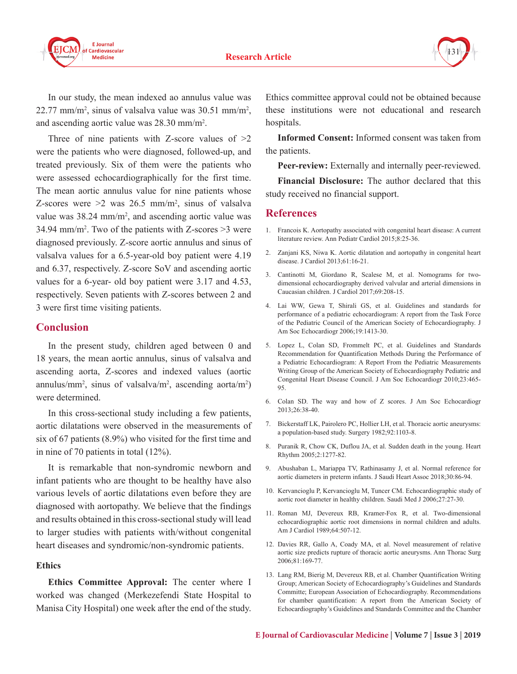

In our study, the mean indexed ao annulus value was  $22.77$  mm/m<sup>2</sup>, sinus of valsalva value was  $30.51$  mm/m<sup>2</sup>, and ascending aortic value was 28.30 mm/m<sup>2</sup> .

Three of nine patients with Z-score values of  $>2$ were the patients who were diagnosed, followed-up, and treated previously. Six of them were the patients who were assessed echocardiographically for the first time. The mean aortic annulus value for nine patients whose Z-scores were  $\geq 2$  was 26.5 mm/m<sup>2</sup>, sinus of valsalva value was  $38.24 \text{ mm/m}^2$ , and ascending aortic value was 34.94 mm/m<sup>2</sup>. Two of the patients with Z-scores  $>$ 3 were diagnosed previously. Z-score aortic annulus and sinus of valsalva values for a 6.5-year-old boy patient were 4.19 and 6.37, respectively. Z-score SoV and ascending aortic values for a 6-year- old boy patient were 3.17 and 4.53, respectively. Seven patients with Z-scores between 2 and 3 were first time visiting patients.

#### **Conclusion**

In the present study, children aged between 0 and 18 years, the mean aortic annulus, sinus of valsalva and ascending aorta, Z-scores and indexed values (aortic annulus/mm<sup>2</sup>, sinus of valsalva/m<sup>2</sup>, ascending aorta/m<sup>2</sup>) were determined.

In this cross-sectional study including a few patients, aortic dilatations were observed in the measurements of six of 67 patients (8.9%) who visited for the first time and in nine of 70 patients in total (12%).

It is remarkable that non-syndromic newborn and infant patients who are thought to be healthy have also various levels of aortic dilatations even before they are diagnosed with aortopathy. We believe that the findings and results obtained in this cross-sectional study will lead to larger studies with patients with/without congenital heart diseases and syndromic/non-syndromic patients.

#### **Ethics**

**Ethics Committee Approval:** The center where I worked was changed (Merkezefendi State Hospital to Manisa City Hospital) one week after the end of the study. Ethics committee approval could not be obtained because these institutions were not educational and research hospitals.

**Informed Consent:** Informed consent was taken from the patients.

**Peer-review:** Externally and internally peer-reviewed.

**Financial Disclosure:** The author declared that this study received no financial support.

#### **References**

- 1. Francois K. Aortopathy associated with congenital heart disease: A current literature review. Ann Pediatr Cardiol 2015;8:25-36.
- 2. Zanjani KS, Niwa K. Aortic dilatation and aortopathy in congenital heart disease. J Cardiol 2013;61:16-21.
- 3. Cantinotti M, Giordano R, Scalese M, et al. Nomograms for twodimensional echocardiography derived valvular and arterial dimensions in Caucasian children. J Cardiol 2017;69:208-15.
- 4. Lai WW, Gewa T, Shirali GS, et al. Guidelines and standards for performance of a pediatric echocardiogram: A report from the Task Force of the Pediatric Council of the American Society of Echocardiography. J Am Soc Echocardiogr 2006;19:1413-30.
- 5. Lopez L, Colan SD, Frommelt PC, et al. Guidelines and Standards Recommendation for Quantification Methods During the Performance of a Pediatric Echocardiogram: A Report From the Pediatric Measurements Writing Group of the American Society of Echocardiography Pediatric and Congenital Heart Disease Council. J Am Soc Echocardiogr 2010;23:465- 95.
- 6. Colan SD. The way and how of Z scores. J Am Soc Echocardiogr 2013;26:38-40.
- 7. Bickerstaff LK, Pairolero PC, Hollier LH, et al. Thoracic aortic aneurysms: a population-based study. Surgery 1982;92:1103-8.
- 8. Puranik R, Chow CK, Duflou JA, et al. Sudden death in the young. Heart Rhythm 2005;2:1277-82.
- 9. Abushaban L, Mariappa TV, Rathinasamy J, et al. Normal reference for aortic diameters in preterm infants. J Saudi Heart Assoc 2018;30:86-94.
- 10. Kervancioglu P, Kervancioglu M, Tuncer CM. Echocardiographic study of aortic root diameter in healthy children. Saudi Med J 2006;27:27-30.
- 11. Roman MJ, Devereux RB, Kramer-Fox R, et al. Two-dimensional echocardiographic aortic root dimensions in normal children and adults. Am J Cardiol 1989;64:507-12.
- 12. Davies RR, Gallo A, Coady MA, et al. Novel measurement of relative aortic size predicts rupture of thoracic aortic aneurysms. Ann Thorac Surg 2006;81:169-77.
- 13. Lang RM, Bierig M, Devereux RB, et al. Chamber Quantification Writing Group; American Society of Echocardiography's Guidelines and Standards Committe; European Association of Echocardiography. Recommendations for chamber quantification: A report from the American Society of Echocardiography's Guidelines and Standards Committee and the Chamber